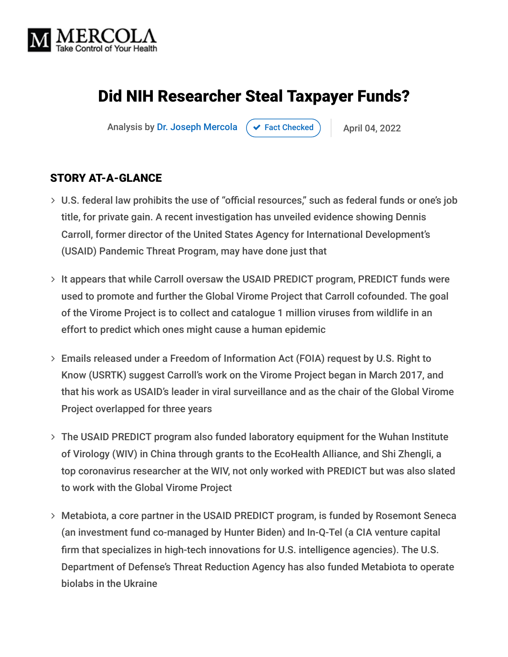

# Did NIH Researcher Steal Taxpayer Funds?

Analysis by [Dr. Joseph Mercola](https://www.mercola.com/forms/background.htm)  $\rightarrow$  [Fact Checked](javascript:void(0))  $\rightarrow$  April 04, 2022

#### STORY AT-A-GLANCE

- U.S. federal law prohibits the use of "official resources," such as federal funds or one's job title, for private gain. A recent investigation has unveiled evidence showing Dennis Carroll, former director of the United States Agency for International Development's (USAID) Pandemic Threat Program, may have done just that
- > It appears that while Carroll oversaw the USAID PREDICT program, PREDICT funds were used to promote and further the Global Virome Project that Carroll cofounded. The goal of the Virome Project is to collect and catalogue 1 million viruses from wildlife in an effort to predict which ones might cause a human epidemic
- Emails released under a Freedom of Information Act (FOIA) request by U.S. Right to Know (USRTK) suggest Carroll's work on the Virome Project began in March 2017, and that his work as USAID's leader in viral surveillance and as the chair of the Global Virome Project overlapped for three years
- The USAID PREDICT program also funded laboratory equipment for the Wuhan Institute of Virology (WIV) in China through grants to the EcoHealth Alliance, and Shi Zhengli, a top coronavirus researcher at the WIV, not only worked with PREDICT but was also slated to work with the Global Virome Project
- Metabiota, a core partner in the USAID PREDICT program, is funded by Rosemont Seneca (an investment fund co-managed by Hunter Biden) and In-Q-Tel (a CIA venture capital firm that specializes in high-tech innovations for U.S. intelligence agencies). The U.S. Department of Defense's Threat Reduction Agency has also funded Metabiota to operate biolabs in the Ukraine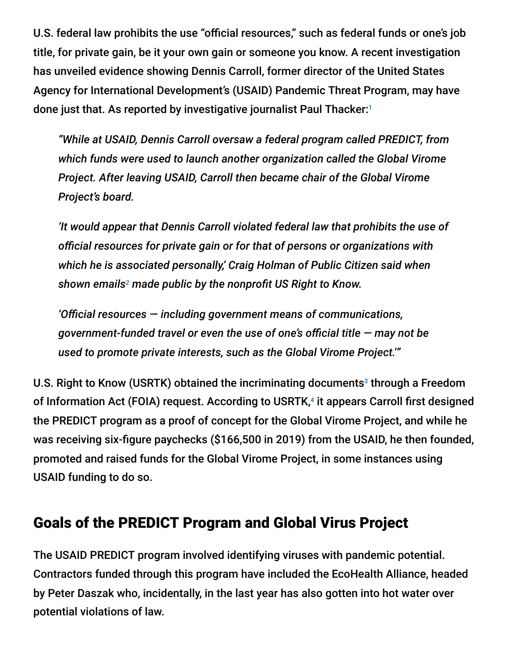U.S. federal law prohibits the use "official resources," such as federal funds or one's job title, for private gain, be it your own gain or someone you know. A recent investigation has unveiled evidence showing Dennis Carroll, former director of the United States Agency for International Development's (USAID) Pandemic Threat Program, may have done just that. As reported by investigative journalist Paul Thacker: 1

*"While at USAID, Dennis Carroll oversaw a federal program called PREDICT, from which funds were used to launch another organization called the Global Virome Project. After leaving USAID, Carroll then became chair of the Global Virome Project's board.*

*'It would appear that Dennis Carroll violated federal law that prohibits the use of official resources for private gain or for that of persons or organizations with which he is associated personally,' Craig Holman of Public Citizen said when* shown emails<sup>2</sup> made public by the nonprofit US Right to Know.

*'Official resources — including government means of communications, government-funded travel or even the use of one's official title — may not be used to promote private interests, such as the Global Virome Project.'"*

U.S. Right to Know (USRTK) obtained the incriminating documents<sup>3</sup> through a Freedom of Information Act (FOIA) request. According to USRTK,<sup>4</sup> it appears Carroll first designed the PREDICT program as a proof of concept for the Global Virome Project, and while he was receiving six-figure paychecks (\$166,500 in 2019) from the USAID, he then founded, promoted and raised funds for the Global Virome Project, in some instances using USAID funding to do so.

#### Goals of the PREDICT Program and Global Virus Project

The USAID PREDICT program involved identifying viruses with pandemic potential. Contractors funded through this program have included the EcoHealth Alliance, headed by Peter Daszak who, incidentally, in the last year has also gotten into hot water over potential violations of law.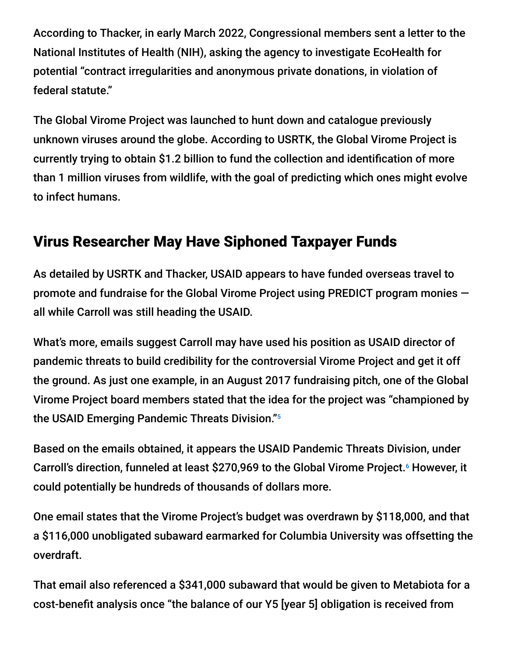According to Thacker, in early March 2022, Congressional members sent a letter to the National Institutes of Health (NIH), asking the agency to investigate EcoHealth for potential "contract irregularities and anonymous private donations, in violation of federal statute."

The Global Virome Project was launched to hunt down and catalogue previously unknown viruses around the globe. According to USRTK, the Global Virome Project is currently trying to obtain \$1.2 billion to fund the collection and identification of more than 1 million viruses from wildlife, with the goal of predicting which ones might evolve to infect humans.

# Virus Researcher May Have Siphoned Taxpayer Funds

As detailed by USRTK and Thacker, USAID appears to have funded overseas travel to promote and fundraise for the Global Virome Project using PREDICT program monies all while Carroll was still heading the USAID.

What's more, emails suggest Carroll may have used his position as USAID director of pandemic threats to build credibility for the controversial Virome Project and get it off the ground. As just one example, in an August 2017 fundraising pitch, one of the Global Virome Project board members stated that the idea for the project was "championed by the USAID Emerging Pandemic Threats Division." 5

Based on the emails obtained, it appears the USAID Pandemic Threats Division, under Carroll's direction, funneled at least \$270,969 to the Global Virome Project.<sup>6</sup> However, it could potentially be hundreds of thousands of dollars more.

One email states that the Virome Project's budget was overdrawn by \$118,000, and that a \$116,000 unobligated subaward earmarked for Columbia University was offsetting the overdraft.

That email also referenced a \$341,000 subaward that would be given to Metabiota for a cost-benefit analysis once "the balance of our Y5 [year 5] obligation is received from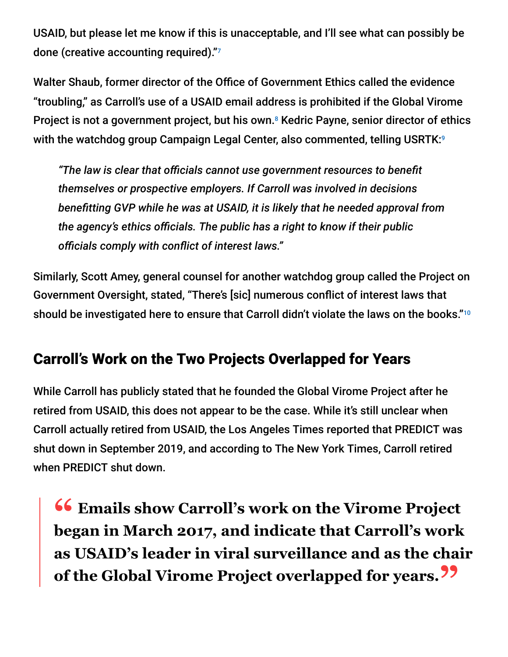USAID, but please let me know if this is unacceptable, and I'll see what can possibly be done (creative accounting required)." 7

Walter Shaub, former director of the Office of Government Ethics called the evidence "troubling," as Carroll's use of a USAID email address is prohibited if the Global Virome Project is not a government project, but his own.<sup>8</sup> Kedric Payne, senior director of ethics with the watchdog group Campaign Legal Center, also commented, telling USRTK: 9

*"The law is clear that officials cannot use government resources to benefit themselves or prospective employers. If Carroll was involved in decisions benefitting GVP while he was at USAID, it is likely that he needed approval from the agency's ethics officials. The public has a right to know if their public officials comply with conflict of interest laws."*

Similarly, Scott Amey, general counsel for another watchdog group called the Project on Government Oversight, stated, "There's [sic] numerous conflict of interest laws that should be investigated here to ensure that Carroll didn't violate the laws on the books."<sup>10</sup>

#### Carroll's Work on the Two Projects Overlapped for Years

While Carroll has publicly stated that he founded the Global Virome Project after he retired from USAID, this does not appear to be the case. While it's still unclear when Carroll actually retired from USAID, the Los Angeles Times reported that PREDICT was shut down in September 2019, and according to The New York Times, Carroll retired when PREDICT shut down.

**46 Emails show Carroll's work on the Virome Project<br>hegan in March 2017, and indicate that Carroll's work began in March 2017, and indicate that Carroll's work as USAID's leader in viral surveillance and as the chair of the Global Virome Project overlapped for years."**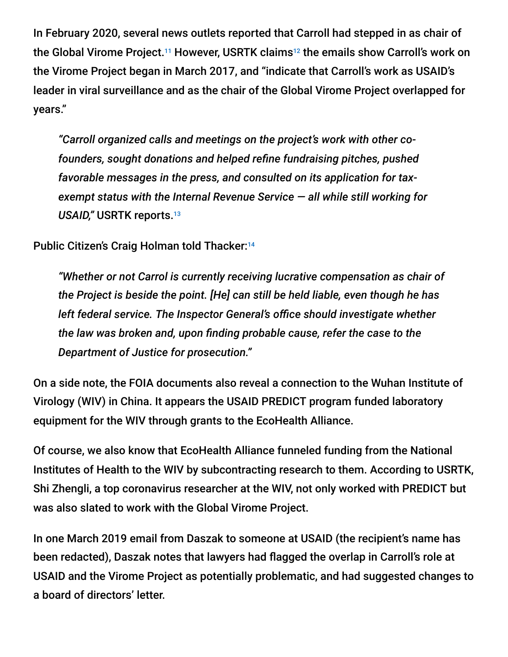In February 2020, several news outlets reported that Carroll had stepped in as chair of the Global Virome Project.<sup>11</sup> However, USRTK claims<sup>12</sup> the emails show Carroll's work on the Virome Project began in March 2017, and "indicate that Carroll's work as USAID's leader in viral surveillance and as the chair of the Global Virome Project overlapped for years."

*"Carroll organized calls and meetings on the project's work with other cofounders, sought donations and helped refine fundraising pitches, pushed favorable messages in the press, and consulted on its application for taxexempt status with the Internal Revenue Service — all while still working for USAID,"* USRTK reports. 13

Public Citizen's Craig Holman told Thacker:<sup>14</sup>

*"Whether or not Carrol is currently receiving lucrative compensation as chair of the Project is beside the point. [He] can still be held liable, even though he has left federal service. The Inspector General's office should investigate whether the law was broken and, upon finding probable cause, refer the case to the Department of Justice for prosecution."*

On a side note, the FOIA documents also reveal a connection to the Wuhan Institute of Virology (WIV) in China. It appears the USAID PREDICT program funded laboratory equipment for the WIV through grants to the EcoHealth Alliance.

Of course, we also know that EcoHealth Alliance funneled funding from the National Institutes of Health to the WIV by subcontracting research to them. According to USRTK, Shi Zhengli, a top coronavirus researcher at the WIV, not only worked with PREDICT but was also slated to work with the Global Virome Project.

In one March 2019 email from Daszak to someone at USAID (the recipient's name has been redacted), Daszak notes that lawyers had flagged the overlap in Carroll's role at USAID and the Virome Project as potentially problematic, and had suggested changes to a board of directors' letter.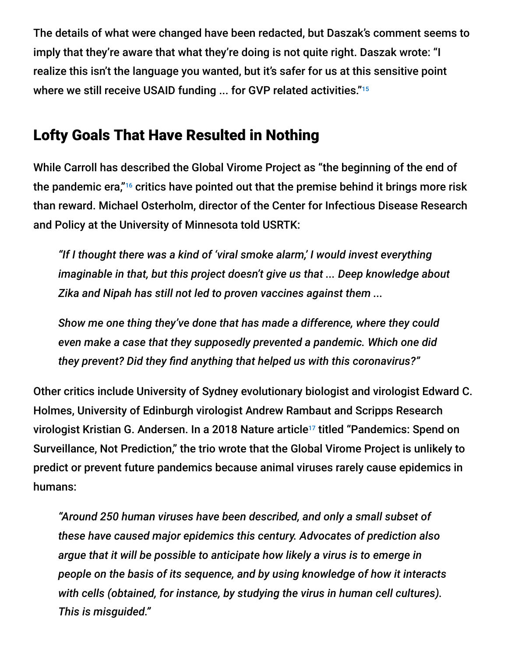The details of what were changed have been redacted, but Daszak's comment seems to imply that they're aware that what they're doing is not quite right. Daszak wrote: "I realize this isn't the language you wanted, but it's safer for us at this sensitive point where we still receive USAID funding ... for GVP related activities." 15

## Lofty Goals That Have Resulted in Nothing

While Carroll has described the Global Virome Project as "the beginning of the end of the pandemic era," $16$  critics have pointed out that the premise behind it brings more risk than reward. Michael Osterholm, director of the Center for Infectious Disease Research and Policy at the University of Minnesota told USRTK:

*"If I thought there was a kind of 'viral smoke alarm,' I would invest everything imaginable in that, but this project doesn't give us that ... Deep knowledge about Zika and Nipah has still not led to proven vaccines against them ...*

*Show me one thing they've done that has made a difference, where they could even make a case that they supposedly prevented a pandemic. Which one did they prevent? Did they find anything that helped us with this coronavirus?"*

Other critics include University of Sydney evolutionary biologist and virologist Edward C. Holmes, University of Edinburgh virologist Andrew Rambaut and Scripps Research virologist Kristian G. Andersen. In a 2018 Nature article<sup>17</sup> titled "Pandemics: Spend on Surveillance, Not Prediction," the trio wrote that the Global Virome Project is unlikely to predict or prevent future pandemics because animal viruses rarely cause epidemics in humans:

*"Around 250 human viruses have been described, and only a small subset of these have caused major epidemics this century. Advocates of prediction also argue that it will be possible to anticipate how likely a virus is to emerge in people on the basis of its sequence, and by using knowledge of how it interacts with cells (obtained, for instance, by studying the virus in human cell cultures). This is misguided."*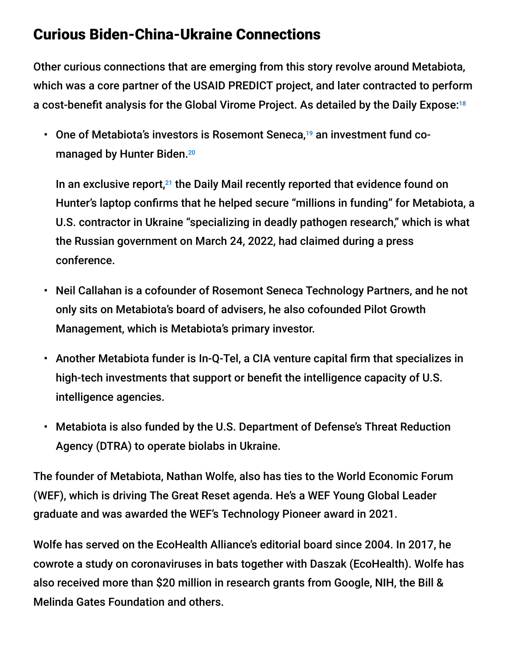#### Curious Biden-China-Ukraine Connections

Other curious connections that are emerging from this story revolve around Metabiota, which was a core partner of the USAID PREDICT project, and later contracted to perform a cost-benefit analysis for the Global Virome Project. As detailed by the Daily Expose: 18

• One of Metabiota's investors is Rosemont Seneca, $19$  an investment fund comanaged by Hunter Biden.<sup>20</sup>

In an exclusive report, $21$  the Daily Mail recently reported that evidence found on Hunter's laptop confirms that he helped secure "millions in funding" for Metabiota, a U.S. contractor in Ukraine "specializing in deadly pathogen research," which is what the Russian government on March 24, 2022, had claimed during a press conference.

- Neil Callahan is a cofounder of Rosemont Seneca Technology Partners, and he not only sits on Metabiota's board of advisers, he also cofounded Pilot Growth Management, which is Metabiota's primary investor.
- Another Metabiota funder is In-Q-Tel, a CIA venture capital firm that specializes in high-tech investments that support or benefit the intelligence capacity of U.S. intelligence agencies.
- Metabiota is also funded by the U.S. Department of Defense's Threat Reduction Agency (DTRA) to operate biolabs in Ukraine.

The founder of Metabiota, Nathan Wolfe, also has ties to the World Economic Forum (WEF), which is driving The Great Reset agenda. He's a WEF Young Global Leader graduate and was awarded the WEF's Technology Pioneer award in 2021.

Wolfe has served on the EcoHealth Alliance's editorial board since 2004. In 2017, he cowrote a study on coronaviruses in bats together with Daszak (EcoHealth). Wolfe has also received more than \$20 million in research grants from Google, NIH, the Bill & Melinda Gates Foundation and others.